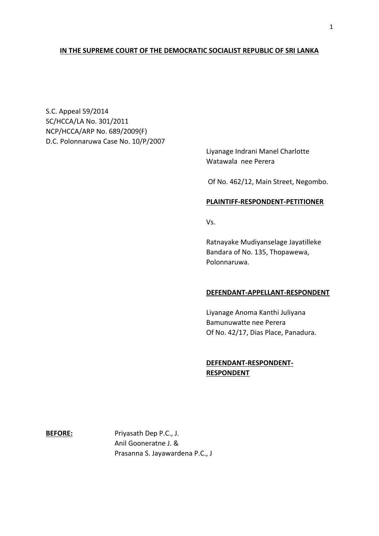# **IN THE SUPREME COURT OF THE DEMOCRATIC SOCIALIST REPUBLIC OF SRI LANKA**

S.C. Appeal 59/2014 SC/HCCA/LA No. 301/2011 NCP/HCCA/ARP No. 689/2009(F) D.C. Polonnaruwa Case No. 10/P/2007

> Liyanage Indrani Manel Charlotte Watawala nee Perera

Of No. 462/12, Main Street, Negombo.

### **PLAINTIFF-RESPONDENT-PETITIONER**

Vs.

Ratnayake Mudiyanselage Jayatilleke Bandara of No. 135, Thopawewa, Polonnaruwa.

### **DEFENDANT-APPELLANT-RESPONDENT**

Liyanage Anoma Kanthi Juliyana Bamunuwatte nee Perera Of No. 42/17, Dias Place, Panadura.

## **DEFENDANT-RESPONDENT-RESPONDENT**

**BEFORE:** Priyasath Dep P.C., J. Anil Gooneratne J. & Prasanna S. Jayawardena P.C., J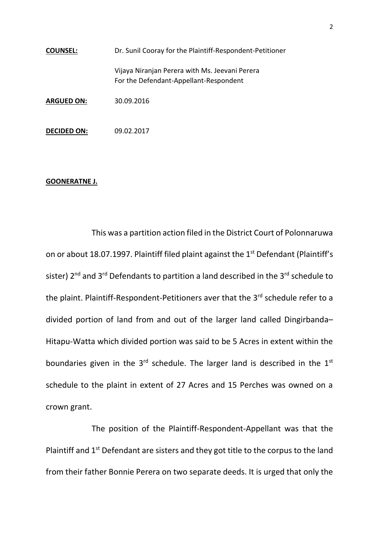| <b>COUNSEL:</b>    | Dr. Sunil Cooray for the Plaintiff-Respondent-Petitioner                                 |
|--------------------|------------------------------------------------------------------------------------------|
|                    | Vijaya Niranjan Perera with Ms. Jeevani Perera<br>For the Defendant-Appellant-Respondent |
| <b>ARGUED ON:</b>  | 30.09.2016                                                                               |
| <b>DECIDED ON:</b> | 09.02.2017                                                                               |

### **GOONERATNE J.**

This was a partition action filed in the District Court of Polonnaruwa on or about 18.07.1997. Plaintiff filed plaint against the 1<sup>st</sup> Defendant (Plaintiff's sister)  $2^{nd}$  and  $3^{rd}$  Defendants to partition a land described in the  $3^{rd}$  schedule to the plaint. Plaintiff-Respondent-Petitioners aver that the 3<sup>rd</sup> schedule refer to a divided portion of land from and out of the larger land called Dingirbanda– Hitapu-Watta which divided portion was said to be 5 Acres in extent within the boundaries given in the  $3<sup>rd</sup>$  schedule. The larger land is described in the  $1<sup>st</sup>$ schedule to the plaint in extent of 27 Acres and 15 Perches was owned on a crown grant.

The position of the Plaintiff-Respondent-Appellant was that the Plaintiff and  $1<sup>st</sup>$  Defendant are sisters and they got title to the corpus to the land from their father Bonnie Perera on two separate deeds. It is urged that only the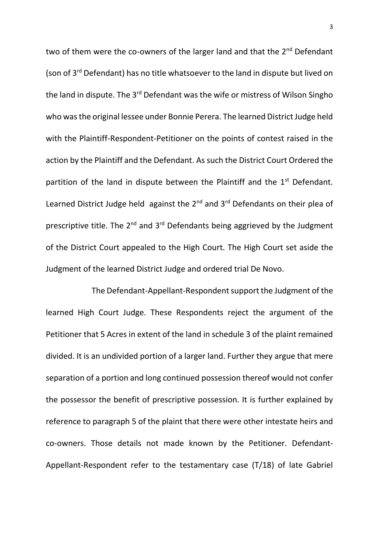two of them were the co-owners of the larger land and that the 2<sup>nd</sup> Defendant (son of 3rd Defendant) has no title whatsoever to the land in dispute but lived on the land in dispute. The 3<sup>rd</sup> Defendant was the wife or mistress of Wilson Singho who was the original lessee under Bonnie Perera. The learned District Judge held with the Plaintiff-Respondent-Petitioner on the points of contest raised in the action by the Plaintiff and the Defendant. As such the District Court Ordered the partition of the land in dispute between the Plaintiff and the  $1<sup>st</sup>$  Defendant. Learned District Judge held against the  $2^{nd}$  and  $3^{rd}$  Defendants on their plea of prescriptive title. The 2<sup>nd</sup> and 3<sup>rd</sup> Defendants being aggrieved by the Judgment of the District Court appealed to the High Court. The High Court set aside the Judgment of the learned District Judge and ordered trial De Novo.

The Defendant-Appellant-Respondent support the Judgment of the learned High Court Judge. These Respondents reject the argument of the Petitioner that 5 Acres in extent of the land in schedule 3 of the plaint remained divided. It is an undivided portion of a larger land. Further they argue that mere separation of a portion and long continued possession thereof would not confer the possessor the benefit of prescriptive possession. It is further explained by reference to paragraph 5 of the plaint that there were other intestate heirs and co-owners. Those details not made known by the Petitioner. Defendant-Appellant-Respondent refer to the testamentary case (T/18) of late Gabriel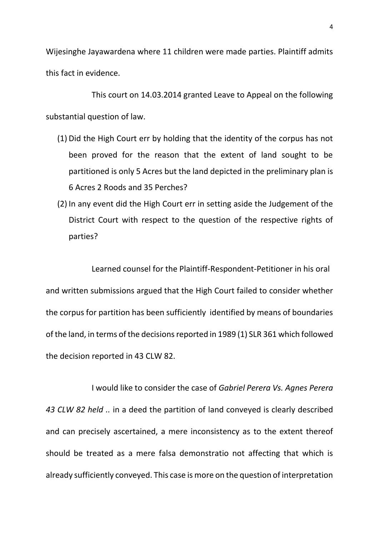Wijesinghe Jayawardena where 11 children were made parties. Plaintiff admits this fact in evidence.

This court on 14.03.2014 granted Leave to Appeal on the following substantial question of law.

- (1) Did the High Court err by holding that the identity of the corpus has not been proved for the reason that the extent of land sought to be partitioned is only 5 Acres but the land depicted in the preliminary plan is 6 Acres 2 Roods and 35 Perches?
- (2) In any event did the High Court err in setting aside the Judgement of the District Court with respect to the question of the respective rights of parties?

Learned counsel for the Plaintiff-Respondent-Petitioner in his oral and written submissions argued that the High Court failed to consider whether the corpus for partition has been sufficiently identified by means of boundaries of the land, in terms of the decisions reported in 1989 (1) SLR 361 which followed the decision reported in 43 CLW 82.

I would like to consider the case of *Gabriel Perera Vs. Agnes Perera 43 CLW 82 held ..* in a deed the partition of land conveyed is clearly described and can precisely ascertained, a mere inconsistency as to the extent thereof should be treated as a mere falsa demonstratio not affecting that which is already sufficiently conveyed. This case is more on the question of interpretation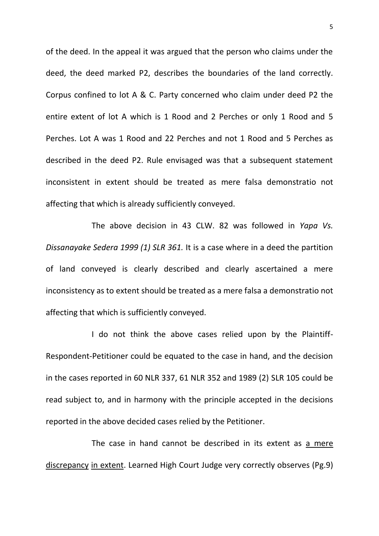of the deed. In the appeal it was argued that the person who claims under the deed, the deed marked P2, describes the boundaries of the land correctly. Corpus confined to lot A & C. Party concerned who claim under deed P2 the entire extent of lot A which is 1 Rood and 2 Perches or only 1 Rood and 5 Perches. Lot A was 1 Rood and 22 Perches and not 1 Rood and 5 Perches as described in the deed P2. Rule envisaged was that a subsequent statement inconsistent in extent should be treated as mere falsa demonstratio not affecting that which is already sufficiently conveyed.

The above decision in 43 CLW. 82 was followed in *Yapa Vs. Dissanayake Sedera 1999 (1) SLR 361.* It is a case where in a deed the partition of land conveyed is clearly described and clearly ascertained a mere inconsistency as to extent should be treated as a mere falsa a demonstratio not affecting that which is sufficiently conveyed.

I do not think the above cases relied upon by the Plaintiff-Respondent-Petitioner could be equated to the case in hand, and the decision in the cases reported in 60 NLR 337, 61 NLR 352 and 1989 (2) SLR 105 could be read subject to, and in harmony with the principle accepted in the decisions reported in the above decided cases relied by the Petitioner.

The case in hand cannot be described in its extent as a mere discrepancy in extent. Learned High Court Judge very correctly observes (Pg.9)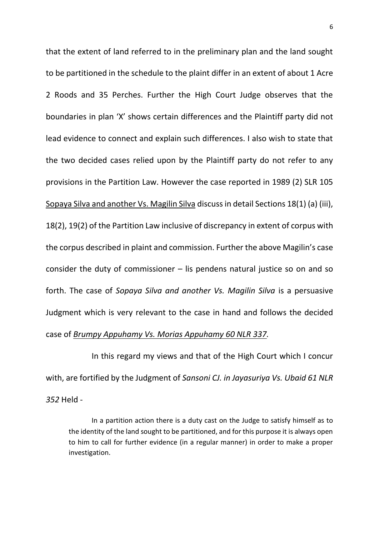that the extent of land referred to in the preliminary plan and the land sought to be partitioned in the schedule to the plaint differ in an extent of about 1 Acre 2 Roods and 35 Perches. Further the High Court Judge observes that the boundaries in plan 'X' shows certain differences and the Plaintiff party did not lead evidence to connect and explain such differences. I also wish to state that the two decided cases relied upon by the Plaintiff party do not refer to any provisions in the Partition Law. However the case reported in 1989 (2) SLR 105 Sopaya Silva and another Vs. Magilin Silva discuss in detail Sections 18(1) (a) (iii), 18(2), 19(2) of the Partition Law inclusive of discrepancy in extent of corpus with the corpus described in plaint and commission. Further the above Magilin's case consider the duty of commissioner – lis pendens natural justice so on and so forth. The case of *Sopaya Silva and another Vs. Magilin Silva* is a persuasive Judgment which is very relevant to the case in hand and follows the decided case of *Brumpy Appuhamy Vs. Morias Appuhamy 60 NLR 337.* 

In this regard my views and that of the High Court which I concur with, are fortified by the Judgment of *Sansoni CJ. in Jayasuriya Vs. Ubaid 61 NLR 352* Held -

In a partition action there is a duty cast on the Judge to satisfy himself as to the identity of the land sought to be partitioned, and for this purpose it is always open to him to call for further evidence (in a regular manner) in order to make a proper investigation.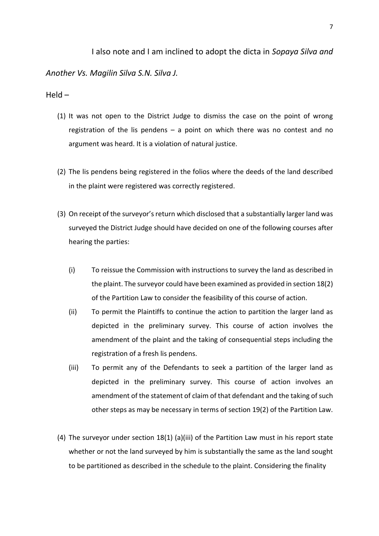### I also note and I am inclined to adopt the dicta in *Sopaya Silva and*

*Another Vs. Magilin Silva S.N. Silva J.* 

### Held –

- (1) It was not open to the District Judge to dismiss the case on the point of wrong registration of the lis pendens – a point on which there was no contest and no argument was heard. It is a violation of natural justice.
- (2) The lis pendens being registered in the folios where the deeds of the land described in the plaint were registered was correctly registered.
- (3) On receipt of the surveyor's return which disclosed that a substantially larger land was surveyed the District Judge should have decided on one of the following courses after hearing the parties:
	- (i) To reissue the Commission with instructions to survey the land as described in the plaint. The surveyor could have been examined as provided in section 18(2) of the Partition Law to consider the feasibility of this course of action.
	- (ii) To permit the Plaintiffs to continue the action to partition the larger land as depicted in the preliminary survey. This course of action involves the amendment of the plaint and the taking of consequential steps including the registration of a fresh lis pendens.
	- (iii) To permit any of the Defendants to seek a partition of the larger land as depicted in the preliminary survey. This course of action involves an amendment of the statement of claim of that defendant and the taking of such other steps as may be necessary in terms of section 19(2) of the Partition Law.
- (4) The surveyor under section 18(1) (a)(iii) of the Partition Law must in his report state whether or not the land surveyed by him is substantially the same as the land sought to be partitioned as described in the schedule to the plaint. Considering the finality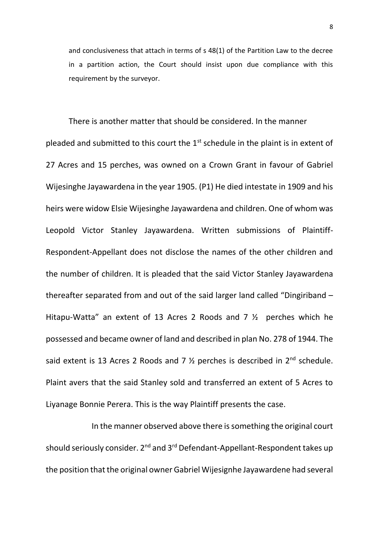and conclusiveness that attach in terms of s 48(1) of the Partition Law to the decree in a partition action, the Court should insist upon due compliance with this requirement by the surveyor.

There is another matter that should be considered. In the manner pleaded and submitted to this court the  $1<sup>st</sup>$  schedule in the plaint is in extent of 27 Acres and 15 perches, was owned on a Crown Grant in favour of Gabriel Wijesinghe Jayawardena in the year 1905. (P1) He died intestate in 1909 and his heirs were widow Elsie Wijesinghe Jayawardena and children. One of whom was Leopold Victor Stanley Jayawardena. Written submissions of Plaintiff-Respondent-Appellant does not disclose the names of the other children and the number of children. It is pleaded that the said Victor Stanley Jayawardena thereafter separated from and out of the said larger land called "Dingiriband – Hitapu-Watta" an extent of 13 Acres 2 Roods and 7 ½ perches which he possessed and became owner of land and described in plan No. 278 of 1944. The said extent is 13 Acres 2 Roods and 7  $\frac{1}{2}$  perches is described in 2<sup>nd</sup> schedule. Plaint avers that the said Stanley sold and transferred an extent of 5 Acres to Liyanage Bonnie Perera. This is the way Plaintiff presents the case.

In the manner observed above there is something the original court should seriously consider. 2<sup>nd</sup> and 3<sup>rd</sup> Defendant-Appellant-Respondent takes up the position that the original owner Gabriel Wijesignhe Jayawardene had several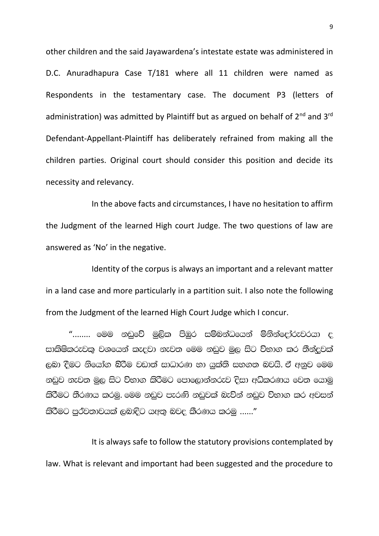other children and the said Jayawardena's intestate estate was administered in D.C. Anuradhapura Case T/181 where all 11 children were named as Respondents in the testamentary case. The document P3 (letters of administration) was admitted by Plaintiff but as argued on behalf of  $2^{nd}$  and  $3^{rd}$ Defendant-Appellant-Plaintiff has deliberately refrained from making all the children parties. Original court should consider this position and decide its necessity and relevancy.

In the above facts and circumstances, I have no hesitation to affirm the Judgment of the learned High court Judge. The two questions of law are answered as 'No' in the negative.

Identity of the corpus is always an important and a relevant matter in a land case and more particularly in a partition suit. I also note the following from the Judgment of the learned High Court Judge which I concur.

 $"$ ........ මෙම නඩුවේ මුලික පිඹුර සම්බන්ධයෙන් මිනින්දෝරුවරයා ද සාකිෂිකරුවකු වශයෙන් කැදවා නැවත මෙම නඩුව මුල සිට විභාග කර තීන්දුවක් ලබා දීමට නියෝග බිරීම වඩාත් සාධාරණ හා යුක්ති සහගත බවයි. ඒ අනුව මෙම නඩුව නැවත මුල සිට විභාග කිරීමට පොලොන්නරුව දිසා අධිකරණය වෙත යොමු කිරීමට තීරණය කරමු. මෙම නඩුව පැරණි නඩුවක් බැව්න් නඩුව විභාග කර අවසන් කිරීමට පුර්වතාවයක් ලබාදිට යඅතු බවද කීරණය කරමු ......"

It is always safe to follow the statutory provisions contemplated by law. What is relevant and important had been suggested and the procedure to